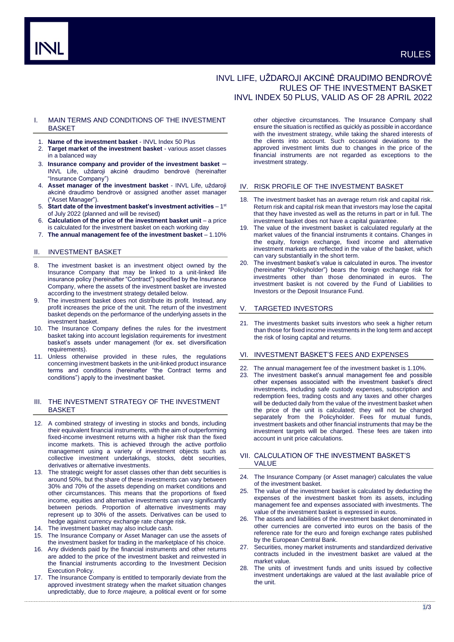# INVL LIFE, UŽDAROJI AKCINĖ DRAUDIMO BENDROVĖ RULES OF THE INVESTMENT BASKET INVL INDEX 50 PLUS, VALID AS OF 28 APRIL 2022

## I. MAIN TERMS AND CONDITIONS OF THE INVESTMENT **BASKET**

- 1. **Name of the investment basket** INVL Index 50 Plus
- 2. **Target market of the investment basket** various asset classes in a balanced way
- 3. **Insurance company and provider of the investment basket** INVL Life, uždaroji akcinė draudimo bendrovė (hereinafter "Insurance Company")
- 4. **Asset manager of the investment basket** INVL Life, uždaroji akcinė draudimo bendrovė or assigned another asset manager ("Asset Manager").
- 5. Start date of the investment basket's investment activities 1<sup>st</sup> of July 2022 (planned and will be revised)
- 6. **Calculation of the price of the investment basket unit**  a price is calculated for the investment basket on each working day
- 7. **The annual management fee of the investment basket** 1.10%

## II. INVESTMENT BASKET

- 8. The investment basket is an investment object owned by the Insurance Company that may be linked to a unit-linked life insurance policy (hereinafter "Contract") specified by the Insurance Company, where the assets of the investment basket are invested according to the investment strategy detailed below.
- 9. The investment basket does not distribute its profit. Instead, any profit increases the price of the unit. The return of the investment basket depends on the performance of the underlying assets in the investment basket.
- 10. The Insurance Company defines the rules for the investment basket taking into account legislation requirements for investment basket's assets under management (for ex. set diversification requirements).
- 11. Unless otherwise provided in these rules, the regulations concerning investment baskets in the unit-linked product insurance terms and conditions (hereinafter "the Contract terms and conditions") apply to the investment basket.

## III. THE INVESTMENT STRATEGY OF THE INVESTMENT BASKET

- 12. A combined strategy of investing in stocks and bonds, including their equivalent financial instruments, with the aim of outperforming fixed-income investment returns with a higher risk than the fixed income markets. This is achieved through the active portfolio management using a variety of investment objects such as collective investment undertakings, stocks, debt securities, derivatives or alternative investments.
- 13. The strategic weight for asset classes other than debt securities is around 50%, but the share of these investments can vary between 30% and 70% of the assets depending on market conditions and other circumstances. This means that the proportions of fixed income, equities and alternative investments can vary significantly between periods. Proportion of alternative investments may represent up to 30% of the assets. Derivatives can be used to hedge against currency exchange rate change risk.
- 14. The investment basket may also include cash.
- 15. The Insurance Company or Asset Manager can use the assets of the investment basket for trading in the marketplace of his choice.
- 16. Any dividends paid by the financial instruments and other returns are added to the price of the investment basket and reinvested in the financial instruments according to the Investment Decision Execution Policy.
- 17. The Insurance Company is entitled to temporarily deviate from the approved investment strategy when the market situation changes unpredictably, due to *force majeure,* a political event or for some

other objective circumstances. The Insurance Company shall ensure the situation is rectified as quickly as possible in accordance with the investment strategy, while taking the shared interests of the clients into account. Such occasional deviations to the approved investment limits due to changes in the price of the financial instruments are not regarded as exceptions to the investment strategy.

### IV. RISK PROFILE OF THE INVESTMENT BASKET

- 18. The investment basket has an average return risk and capital risk. Return risk and capital risk mean that investors may lose the capital that they have invested as well as the returns in part or in full. The investment basket does not have a capital guarantee.
- 19. The value of the investment basket is calculated regularly at the market values of the financial instruments it contains. Changes in the equity, foreign exchange, fixed income and alternative investment markets are reflected in the value of the basket, which can vary substantially in the short term.
- The investment basket's value is calculated in euros. The investor (hereinafter "Policyholder") bears the foreign exchange risk for investments other than those denominated in euros. The investment basket is not covered by the Fund of Liabilities to Investors or the Deposit Insurance Fund.

### V. TARGETED INVESTORS

21. The investments basket suits investors who seek a higher return than those for fixed income investments in the long term and accept the risk of losing capital and returns.

### VI. INVESTMENT BASKET'S FEES AND EXPENSES

- 22. The annual management fee of the investment basket is 1.10%.
- 23. The investment basket's annual management fee and possible other expenses associated with the investment basket's direct investments, including safe custody expenses, subscription and redemption fees, trading costs and any taxes and other charges will be deducted daily from the value of the investment basket when the price of the unit is calculated; they will not be charged separately from the Policyholder. Fees for mutual funds, investment baskets and other financial instruments that may be the investment targets will be charged. These fees are taken into account in unit price calculations.

## VII. CALCULATION OF THE INVESTMENT BASKET'S VALUE

- 24. The Insurance Company (or Asset manager) calculates the value of the investment basket.
- The value of the investment basket is calculated by deducting the expenses of the investment basket from its assets, including management fee and expenses associated with investments. The value of the investment basket is expressed in euros.
- 26. The assets and liabilities of the investment basket denominated in other currencies are converted into euros on the basis of the reference rate for the euro and foreign exchange rates published by the European Central Bank.
- 27. Securities, money market instruments and standardized derivative contracts included in the investment basket are valued at the market value.
- 28. The units of investment funds and units issued by collective investment undertakings are valued at the last available price of the unit.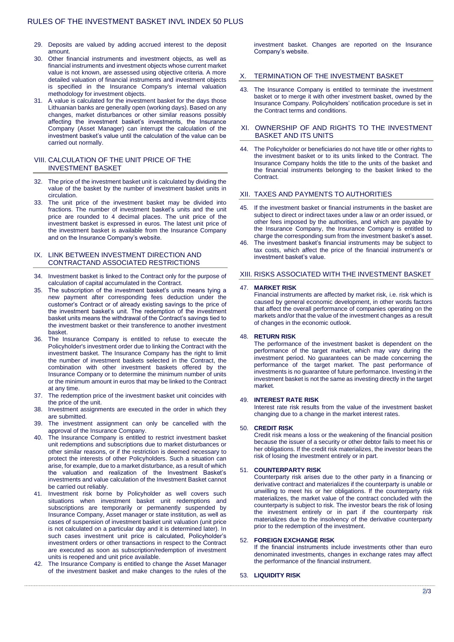- 29. Deposits are valued by adding accrued interest to the deposit amount.
- 30. Other financial instruments and investment objects, as well as financial instruments and investment objects whose current market value is not known, are assessed using objective criteria. A more detailed valuation of financial instruments and investment objects is specified in the Insurance Company's internal valuation methodology for investment objects.
- 31. A value is calculated for the investment basket for the days those Lithuanian banks are generally open (working days). Based on any changes, market disturbances or other similar reasons possibly affecting the investment basket's investments, the Insurance Company (Asset Manager) can interrupt the calculation of the investment basket's value until the calculation of the value can be carried out normally.

## VIII. CALCULATION OF THE UNIT PRICE OF THE INVESTMENT BASKET

- 32. The price of the investment basket unit is calculated by dividing the value of the basket by the number of investment basket units in circulation.
- 33. The unit price of the investment basket may be divided into fractions. The number of investment basket's units and the unit price are rounded to 4 decimal places. The unit price of the investment basket is expressed in euros. The latest unit price of the investment basket is available from the Insurance Company and on the Insurance Company's website.

## IX. LINK BETWEEN INVESTMENT DIRECTION AND CONTRACTAND ASSOCIATED RESTRICTIONS

- 34. Investment basket is linked to the Contract only for the purpose of calculation of capital accumulated in the Contract.
- 35. The subscription of the investment basket's units means tying a new payment after corresponding fees deduction under the customer's Contract or of already existing savings to the price of the investment basket's unit. The redemption of the investment basket units means the withdrawal of the Contract's savings tied to the investment basket or their transference to another investment basket.
- 36. The Insurance Company is entitled to refuse to execute the Policyholder's investment order due to linking the Contract with the investment basket. The Insurance Company has the right to limit the number of investment baskets selected in the Contract, the combination with other investment baskets offered by the Insurance Company or to determine the minimum number of units or the minimum amount in euros that may be linked to the Contract at any time.
- 37. The redemption price of the investment basket unit coincides with the price of the unit.
- 38. Investment assignments are executed in the order in which they are submitted.
- 39. The investment assignment can only be cancelled with the approval of the Insurance Company.
- 40. The Insurance Company is entitled to restrict investment basket unit redemptions and subscriptions due to market disturbances or other similar reasons, or if the restriction is deemed necessary to protect the interests of other Policyholders. Such a situation can arise, for example, due to a market disturbance, as a result of which the valuation and realization of the Investment Basket's investments and value calculation of the Investment Basket cannot be carried out reliably.
- 41. Investment risk borne by Policyholder as well covers such situations when investment basket unit redemptions and subscriptions are temporarily or permanently suspended by Insurance Company, Asset manager or state institution, as well as cases of suspension of investment basket unit valuation (unit price is not calculated on a particular day and it is determined later). In such cases investment unit price is calculated, Policyholder's investment orders or other transactions in respect to the Contract are executed as soon as subscription/redemption of investment units is reopened and unit price available.
- 42. The Insurance Company is entitled to change the Asset Manager of the investment basket and make changes to the rules of the

investment basket. Changes are reported on the Insurance Company's website.

## TERMINATION OF THE INVESTMENT BASKET

43. The Insurance Company is entitled to terminate the investment basket or to merge it with other investment basket, owned by the Insurance Company. Policyholders' notification procedure is set in the Contract terms and conditions.

#### XI. OWNERSHIP OF AND RIGHTS TO THE INVESTMENT BASKET AND ITS UNITS

44. The Policyholder or beneficiaries do not have title or other rights to the investment basket or to its units linked to the Contract. The Insurance Company holds the title to the units of the basket and the financial instruments belonging to the basket linked to the Contract.

#### XII. TAXES AND PAYMENTS TO AUTHORITIES

- 45. If the investment basket or financial instruments in the basket are subject to direct or indirect taxes under a law or an order issued, or other fees imposed by the authorities, and which are payable by the Insurance Company, the Insurance Company is entitled to charge the corresponding sum from the investment basket's asset.
- 46. The investment basket's financial instruments may be subject to tax costs, which affect the price of the financial instrument's or investment basket's value.

#### XIII. RISKS ASSOCIATED WITH THE INVESTMENT BASKET

#### 47. **MARKET RISK**

Financial instruments are affected by market risk, i.e. risk which is caused by general economic development, in other words factors that affect the overall performance of companies operating on the markets and/or that the value of the investment changes as a result of changes in the economic outlook.

## 48. **RETURN RISK**

The performance of the investment basket is dependent on the performance of the target market, which may vary during the investment period. No guarantees can be made concerning the performance of the target market. The past performance of investments is no guarantee of future performance. Investing in the investment basket is not the same as investing directly in the target market.

#### 49. **INTEREST RATE RISK**

Interest rate risk results from the value of the investment basket changing due to a change in the market interest rates.

#### 50. **CREDIT RISK**

Credit risk means a loss or the weakening of the financial position because the issuer of a security or other debtor fails to meet his or her obligations. If the credit risk materializes, the investor bears the risk of losing the investment entirely or in part.

#### 51. **COUNTERPARTY RISK**

Counterparty risk arises due to the other party in a financing or derivative contract and materializes if the counterparty is unable or unwilling to meet his or her obligations. If the counterparty risk materializes, the market value of the contract concluded with the counterparty is subject to risk. The investor bears the risk of losing the investment entirely or in part if the counterparty risk materializes due to the insolvency of the derivative counterparty prior to the redemption of the investment.

#### 52. **FOREIGN EXCHANGE RISK**

If the financial instruments include investments other than euro denominated investments, changes in exchange rates may affect the performance of the financial instrument.

#### 53. **LIQUIDITY RISK**